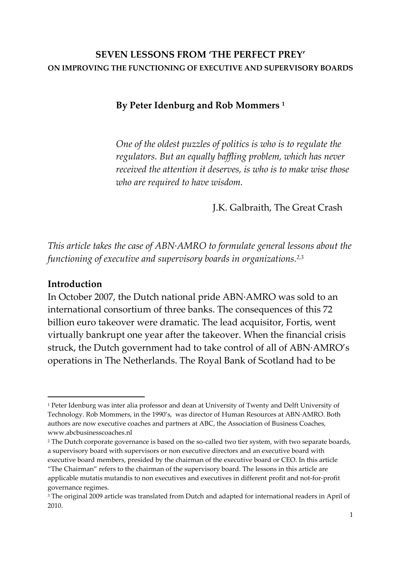#### **SEVEN LESSONS FROM 'THE PERFECT PREY' ON IMPROVING THE FUNCTIONING OF EXECUTIVE AND SUPERVISORY BOARDS**

**By Peter Idenburg and Rob Mommers <sup>1</sup>**

*One of the oldest puzzles of politics is who is to regulate the regulators. But an equally baffling problem, which has never received the attention it deserves, is who is to make wise those who are required to have wisdom.*

J.K. Galbraith, The Great Crash

*This article takes the case of ABN∙AMRO to formulate general lessons about the functioning of executive and supervisory boards in organizations. 2,3*

#### **Introduction**

1

In October 2007, the Dutch national pride ABN∙AMRO was sold to an international consortium of three banks. The consequences of this 72 billion euro takeover were dramatic. The lead acquisitor, Fortis, went virtually bankrupt one year after the takeover. When the financial crisis struck, the Dutch government had to take control of all of ABN∙AMRO's operations in The Netherlands. The Royal Bank of Scotland had to be

<sup>2</sup> The Dutch corporate governance is based on the so-called two tier system, with two separate boards, a supervisory board with supervisors or non executive directors and an executive board with executive board members, presided by the chairman of the executive board or CEO. In this article 'The Chairman' refers to the chairman of the supervisory board. The lessons in this article are applicable mutatis mutandis to non executives and executives in different profit and not-for-profit governance regimes.

<sup>&</sup>lt;sup>1</sup> Peter Idenburg was inter alia professor and dean at University of Twenty and Delft University of Technology. Rob Mommers, in the 1990's, was director of Human Resources at ABN∙AMRO. Both authors are now executive coaches and partners at ABC, the Association of Business Coaches, www.abcbusinesscoaches.nl

<sup>&</sup>lt;sup>3</sup> The original 2009 article was translated from Dutch and adapted for international readers in April of 2010.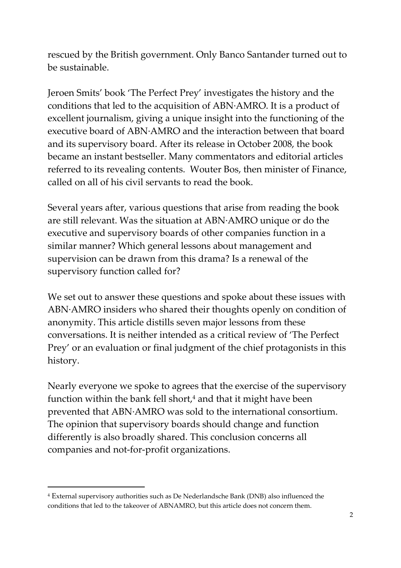rescued by the British government. Only Banco Santander turned out to be sustainable.

Jeroen Smits' book 'The Perfect Prey' investigates the history and the conditions that led to the acquisition of ABN∙AMRO. It is a product of excellent journalism, giving a unique insight into the functioning of the executive board of ABN∙AMRO and the interaction between that board and its supervisory board. After its release in October 2008, the book became an instant bestseller. Many commentators and editorial articles referred to its revealing contents. Wouter Bos, then minister of Finance, called on all of his civil servants to read the book.

Several years after, various questions that arise from reading the book are still relevant. Was the situation at ABN∙AMRO unique or do the executive and supervisory boards of other companies function in a similar manner? Which general lessons about management and supervision can be drawn from this drama? Is a renewal of the supervisory function called for?

We set out to answer these questions and spoke about these issues with ABN∙AMRO insiders who shared their thoughts openly on condition of anonymity. This article distills seven major lessons from these conversations. It is neither intended as a critical review of 'The Perfect Prey' or an evaluation or final judgment of the chief protagonists in this history.

Nearly everyone we spoke to agrees that the exercise of the supervisory function within the bank fell short, $4$  and that it might have been prevented that ABN∙AMRO was sold to the international consortium. The opinion that supervisory boards should change and function differently is also broadly shared. This conclusion concerns all companies and not-for-profit organizations.

 $\overline{\phantom{a}}$ 

<sup>4</sup> External supervisory authorities such as De Nederlandsche Bank (DNB) also influenced the conditions that led to the takeover of ABNAMRO, but this article does not concern them.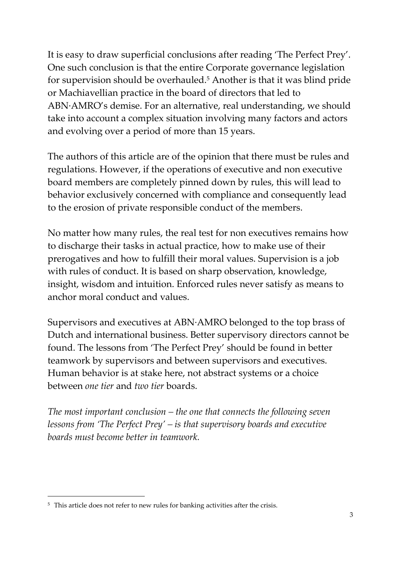It is easy to draw superficial conclusions after reading 'The Perfect Prey'. One such conclusion is that the entire Corporate governance legislation for supervision should be overhauled.<sup>5</sup> Another is that it was blind pride or Machiavellian practice in the board of directors that led to ABN∙AMRO's demise. For an alternative, real understanding, we should take into account a complex situation involving many factors and actors and evolving over a period of more than 15 years.

The authors of this article are of the opinion that there must be rules and regulations. However, if the operations of executive and non executive board members are completely pinned down by rules, this will lead to behavior exclusively concerned with compliance and consequently lead to the erosion of private responsible conduct of the members.

No matter how many rules, the real test for non executives remains how to discharge their tasks in actual practice, how to make use of their prerogatives and how to fulfill their moral values. Supervision is a job with rules of conduct. It is based on sharp observation, knowledge, insight, wisdom and intuition. Enforced rules never satisfy as means to anchor moral conduct and values.

Supervisors and executives at ABN∙AMRO belonged to the top brass of Dutch and international business. Better supervisory directors cannot be found. The lessons from 'The Perfect Prey' should be found in better teamwork by supervisors and between supervisors and executives. Human behavior is at stake here, not abstract systems or a choice between *one tier* and *two tier* boards.

*The most important conclusion – the one that connects the following seven lessons from 'The Perfect Prey' – is that supervisory boards and executive boards must become better in teamwork.*

**.** 

<sup>&</sup>lt;sup>5</sup> This article does not refer to new rules for banking activities after the crisis.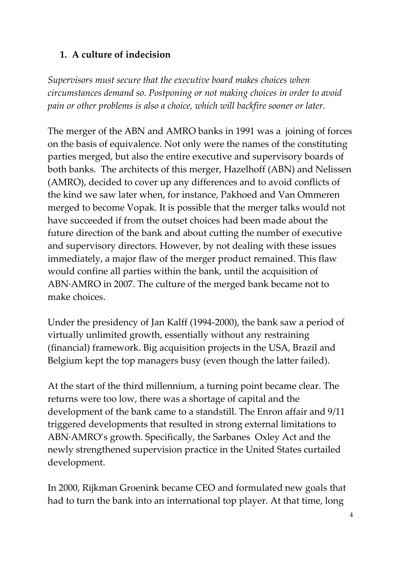### **1. A culture of indecision**

*Supervisors must secure that the executive board makes choices when circumstances demand so. Postponing or not making choices in order to avoid pain or other problems is also a choice, which will backfire sooner or later.*

The merger of the ABN and AMRO banks in 1991 was a joining of forces on the basis of equivalence. Not only were the names of the constituting parties merged, but also the entire executive and supervisory boards of both banks. The architects of this merger, Hazelhoff (ABN) and Nelissen (AMRO), decided to cover up any differences and to avoid conflicts of the kind we saw later when, for instance, Pakhoed and Van Ommeren merged to become Vopak. It is possible that the merger talks would not have succeeded if from the outset choices had been made about the future direction of the bank and about cutting the number of executive and supervisory directors. However, by not dealing with these issues immediately, a major flaw of the merger product remained. This flaw would confine all parties within the bank, until the acquisition of ABN∙AMRO in 2007. The culture of the merged bank became not to make choices.

Under the presidency of Jan Kalff (1994-2000), the bank saw a period of virtually unlimited growth, essentially without any restraining (financial) framework. Big acquisition projects in the USA, Brazil and Belgium kept the top managers busy (even though the latter failed).

At the start of the third millennium, a turning point became clear. The returns were too low, there was a shortage of capital and the development of the bank came to a standstill. The Enron affair and 9/11 triggered developments that resulted in strong external limitations to ABN∙AMRO's growth. Specifically, the Sarbanes Oxley Act and the newly strengthened supervision practice in the United States curtailed development.

In 2000, Rijkman Groenink became CEO and formulated new goals that had to turn the bank into an international top player. At that time, long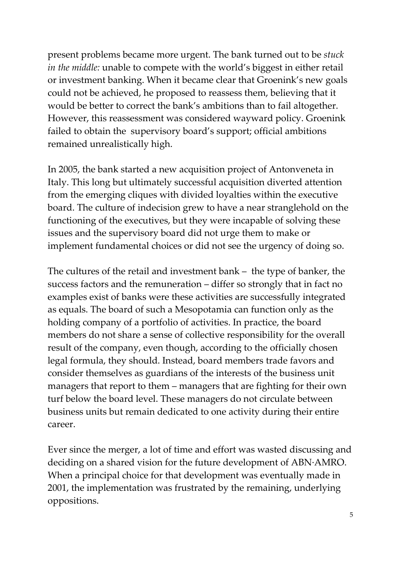present problems became more urgent. The bank turned out to be *stuck in the middle:* unable to compete with the world's biggest in either retail or investment banking. When it became clear that Groenink's new goals could not be achieved, he proposed to reassess them, believing that it would be better to correct the bank's ambitions than to fail altogether. However, this reassessment was considered wayward policy. Groenink failed to obtain the supervisory board's support; official ambitions remained unrealistically high.

In 2005, the bank started a new acquisition project of Antonveneta in Italy. This long but ultimately successful acquisition diverted attention from the emerging cliques with divided loyalties within the executive board. The culture of indecision grew to have a near stranglehold on the functioning of the executives, but they were incapable of solving these issues and the supervisory board did not urge them to make or implement fundamental choices or did not see the urgency of doing so.

The cultures of the retail and investment bank – the type of banker, the success factors and the remuneration – differ so strongly that in fact no examples exist of banks were these activities are successfully integrated as equals. The board of such a Mesopotamia can function only as the holding company of a portfolio of activities. In practice, the board members do not share a sense of collective responsibility for the overall result of the company, even though, according to the officially chosen legal formula, they should. Instead, board members trade favors and consider themselves as guardians of the interests of the business unit managers that report to them – managers that are fighting for their own turf below the board level. These managers do not circulate between business units but remain dedicated to one activity during their entire career.

Ever since the merger, a lot of time and effort was wasted discussing and deciding on a shared vision for the future development of ABN∙AMRO. When a principal choice for that development was eventually made in 2001, the implementation was frustrated by the remaining, underlying oppositions.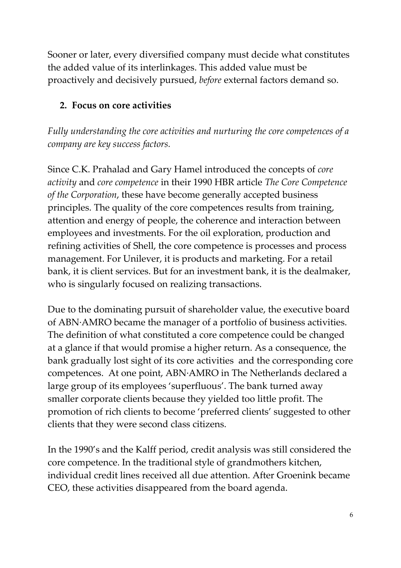Sooner or later, every diversified company must decide what constitutes the added value of its interlinkages. This added value must be proactively and decisively pursued, *before* external factors demand so.

### **2. Focus on core activities**

*Fully understanding the core activities and nurturing the core competences of a company are key success factors.*

Since C.K. Prahalad and Gary Hamel introduced the concepts of *core activity* and *core competence* in their 1990 HBR article *The Core Competence of the Corporation*, these have become generally accepted business principles. The quality of the core competences results from training, attention and energy of people, the coherence and interaction between employees and investments. For the oil exploration, production and refining activities of Shell, the core competence is processes and process management. For Unilever, it is products and marketing. For a retail bank, it is client services. But for an investment bank, it is the dealmaker, who is singularly focused on realizing transactions.

Due to the dominating pursuit of shareholder value, the executive board of ABN∙AMRO became the manager of a portfolio of business activities. The definition of what constituted a core competence could be changed at a glance if that would promise a higher return. As a consequence, the bank gradually lost sight of its core activities and the corresponding core competences. At one point, ABN∙AMRO in The Netherlands declared a large group of its employees 'superfluous'. The bank turned away smaller corporate clients because they yielded too little profit. The promotion of rich clients to become 'preferred clients' suggested to other clients that they were second class citizens.

In the 1990's and the Kalff period, credit analysis was still considered the core competence. In the traditional style of grandmothers kitchen, individual credit lines received all due attention. After Groenink became CEO, these activities disappeared from the board agenda.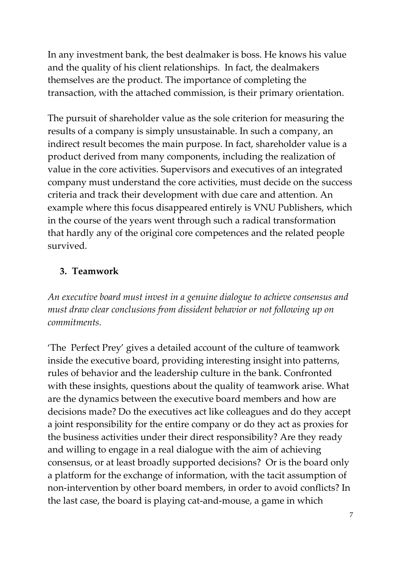In any investment bank, the best dealmaker is boss. He knows his value and the quality of his client relationships. In fact, the dealmakers themselves are the product. The importance of completing the transaction, with the attached commission, is their primary orientation.

The pursuit of shareholder value as the sole criterion for measuring the results of a company is simply unsustainable. In such a company, an indirect result becomes the main purpose. In fact, shareholder value is a product derived from many components, including the realization of value in the core activities. Supervisors and executives of an integrated company must understand the core activities, must decide on the success criteria and track their development with due care and attention. An example where this focus disappeared entirely is VNU Publishers, which in the course of the years went through such a radical transformation that hardly any of the original core competences and the related people survived.

## **3. Teamwork**

*An executive board must invest in a genuine dialogue to achieve consensus and must draw clear conclusions from dissident behavior or not following up on commitments.*

'The Perfect Prey' gives a detailed account of the culture of teamwork inside the executive board, providing interesting insight into patterns, rules of behavior and the leadership culture in the bank. Confronted with these insights, questions about the quality of teamwork arise. What are the dynamics between the executive board members and how are decisions made? Do the executives act like colleagues and do they accept a joint responsibility for the entire company or do they act as proxies for the business activities under their direct responsibility? Are they ready and willing to engage in a real dialogue with the aim of achieving consensus, or at least broadly supported decisions? Or is the board only a platform for the exchange of information, with the tacit assumption of non-intervention by other board members, in order to avoid conflicts? In the last case, the board is playing cat-and-mouse, a game in which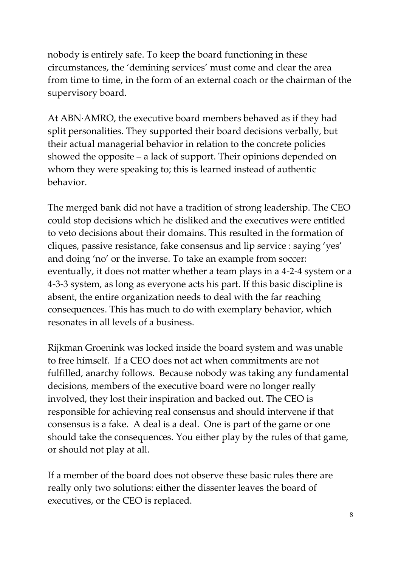nobody is entirely safe. To keep the board functioning in these circumstances, the 'demining services' must come and clear the area from time to time, in the form of an external coach or the chairman of the supervisory board.

At ABN∙AMRO, the executive board members behaved as if they had split personalities. They supported their board decisions verbally, but their actual managerial behavior in relation to the concrete policies showed the opposite – a lack of support. Their opinions depended on whom they were speaking to; this is learned instead of authentic behavior.

The merged bank did not have a tradition of strong leadership. The CEO could stop decisions which he disliked and the executives were entitled to veto decisions about their domains. This resulted in the formation of cliques, passive resistance, fake consensus and lip service : saying 'yes' and doing 'no' or the inverse. To take an example from soccer: eventually, it does not matter whether a team plays in a 4-2-4 system or a 4-3-3 system, as long as everyone acts his part. If this basic discipline is absent, the entire organization needs to deal with the far reaching consequences. This has much to do with exemplary behavior, which resonates in all levels of a business.

Rijkman Groenink was locked inside the board system and was unable to free himself. If a CEO does not act when commitments are not fulfilled, anarchy follows. Because nobody was taking any fundamental decisions, members of the executive board were no longer really involved, they lost their inspiration and backed out. The CEO is responsible for achieving real consensus and should intervene if that consensus is a fake. A deal is a deal. One is part of the game or one should take the consequences. You either play by the rules of that game, or should not play at all.

If a member of the board does not observe these basic rules there are really only two solutions: either the dissenter leaves the board of executives, or the CEO is replaced.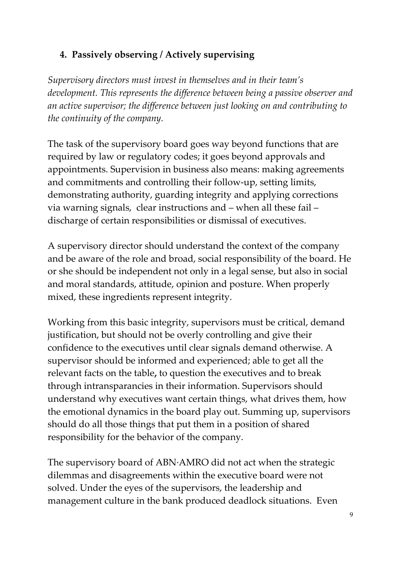## **4. Passively observing / Actively supervising**

*Supervisory directors must invest in themselves and in their team's development. This represents the difference between being a passive observer and an active supervisor; the difference between just looking on and contributing to the continuity of the company.*

The task of the supervisory board goes way beyond functions that are required by law or regulatory codes; it goes beyond approvals and appointments. Supervision in business also means: making agreements and commitments and controlling their follow-up, setting limits, demonstrating authority, guarding integrity and applying corrections via warning signals, clear instructions and – when all these fail – discharge of certain responsibilities or dismissal of executives.

A supervisory director should understand the context of the company and be aware of the role and broad, social responsibility of the board. He or she should be independent not only in a legal sense, but also in social and moral standards, attitude, opinion and posture. When properly mixed, these ingredients represent integrity.

Working from this basic integrity, supervisors must be critical, demand justification, but should not be overly controlling and give their confidence to the executives until clear signals demand otherwise. A supervisor should be informed and experienced; able to get all the relevant facts on the table**,** to question the executives and to break through intransparancies in their information. Supervisors should understand why executives want certain things, what drives them, how the emotional dynamics in the board play out. Summing up, supervisors should do all those things that put them in a position of shared responsibility for the behavior of the company.

The supervisory board of ABN∙AMRO did not act when the strategic dilemmas and disagreements within the executive board were not solved. Under the eyes of the supervisors, the leadership and management culture in the bank produced deadlock situations. Even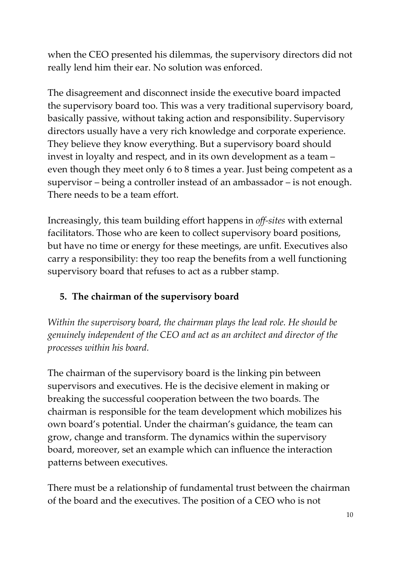when the CEO presented his dilemmas, the supervisory directors did not really lend him their ear. No solution was enforced.

The disagreement and disconnect inside the executive board impacted the supervisory board too. This was a very traditional supervisory board, basically passive, without taking action and responsibility. Supervisory directors usually have a very rich knowledge and corporate experience. They believe they know everything. But a supervisory board should invest in loyalty and respect, and in its own development as a team – even though they meet only 6 to 8 times a year. Just being competent as a supervisor – being a controller instead of an ambassador – is not enough. There needs to be a team effort.

Increasingly, this team building effort happens in *off-sites* with external facilitators. Those who are keen to collect supervisory board positions, but have no time or energy for these meetings, are unfit. Executives also carry a responsibility: they too reap the benefits from a well functioning supervisory board that refuses to act as a rubber stamp.

# **5. The chairman of the supervisory board**

*Within the supervisory board, the chairman plays the lead role. He should be genuinely independent of the CEO and act as an architect and director of the processes within his board.*

The chairman of the supervisory board is the linking pin between supervisors and executives. He is the decisive element in making or breaking the successful cooperation between the two boards. The chairman is responsible for the team development which mobilizes his own board's potential. Under the chairman's guidance, the team can grow, change and transform. The dynamics within the supervisory board, moreover, set an example which can influence the interaction patterns between executives.

There must be a relationship of fundamental trust between the chairman of the board and the executives. The position of a CEO who is not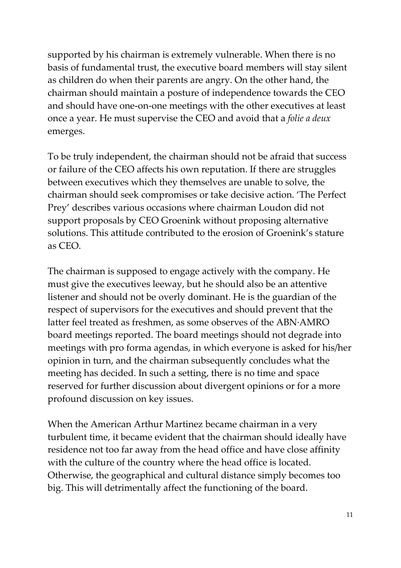supported by his chairman is extremely vulnerable. When there is no basis of fundamental trust, the executive board members will stay silent as children do when their parents are angry. On the other hand, the chairman should maintain a posture of independence towards the CEO and should have one-on-one meetings with the other executives at least once a year. He must supervise the CEO and avoid that a *folie a deux*  emerges.

To be truly independent, the chairman should not be afraid that success or failure of the CEO affects his own reputation. If there are struggles between executives which they themselves are unable to solve, the chairman should seek compromises or take decisive action. 'The Perfect Prey' describes various occasions where chairman Loudon did not support proposals by CEO Groenink without proposing alternative solutions. This attitude contributed to the erosion of Groenink's stature as CEO.

The chairman is supposed to engage actively with the company. He must give the executives leeway, but he should also be an attentive listener and should not be overly dominant. He is the guardian of the respect of supervisors for the executives and should prevent that the latter feel treated as freshmen, as some observes of the ABN∙AMRO board meetings reported. The board meetings should not degrade into meetings with pro forma agendas, in which everyone is asked for his/her opinion in turn, and the chairman subsequently concludes what the meeting has decided. In such a setting, there is no time and space reserved for further discussion about divergent opinions or for a more profound discussion on key issues.

When the American Arthur Martinez became chairman in a very turbulent time, it became evident that the chairman should ideally have residence not too far away from the head office and have close affinity with the culture of the country where the head office is located. Otherwise, the geographical and cultural distance simply becomes too big. This will detrimentally affect the functioning of the board.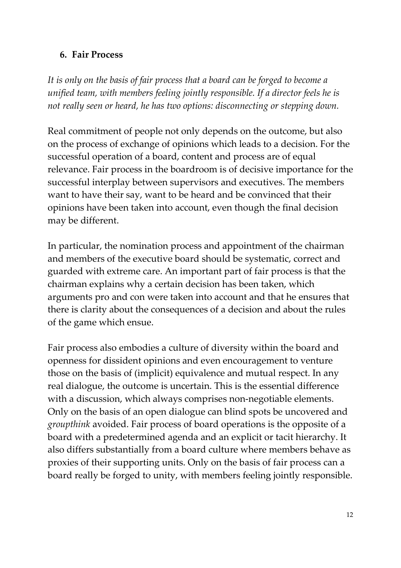#### **6. Fair Process**

*It is only on the basis of fair process that a board can be forged to become a unified team, with members feeling jointly responsible. If a director feels he is not really seen or heard, he has two options: disconnecting or stepping down.*

Real commitment of people not only depends on the outcome, but also on the process of exchange of opinions which leads to a decision. For the successful operation of a board, content and process are of equal relevance. Fair process in the boardroom is of decisive importance for the successful interplay between supervisors and executives. The members want to have their say, want to be heard and be convinced that their opinions have been taken into account, even though the final decision may be different.

In particular, the nomination process and appointment of the chairman and members of the executive board should be systematic, correct and guarded with extreme care. An important part of fair process is that the chairman explains why a certain decision has been taken, which arguments pro and con were taken into account and that he ensures that there is clarity about the consequences of a decision and about the rules of the game which ensue.

Fair process also embodies a culture of diversity within the board and openness for dissident opinions and even encouragement to venture those on the basis of (implicit) equivalence and mutual respect. In any real dialogue, the outcome is uncertain. This is the essential difference with a discussion, which always comprises non-negotiable elements. Only on the basis of an open dialogue can blind spots be uncovered and *groupthink* avoided. Fair process of board operations is the opposite of a board with a predetermined agenda and an explicit or tacit hierarchy. It also differs substantially from a board culture where members behave as proxies of their supporting units. Only on the basis of fair process can a board really be forged to unity, with members feeling jointly responsible.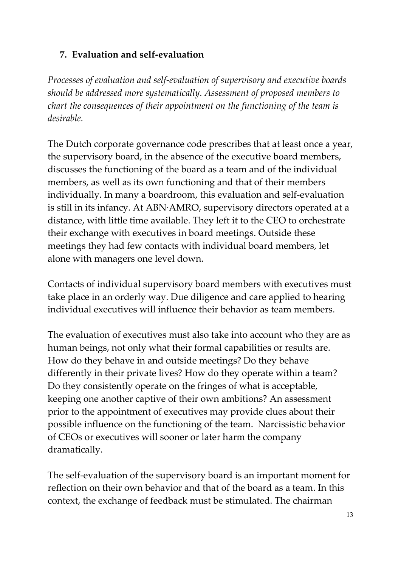### **7. Evaluation and self-evaluation**

*Processes of evaluation and self-evaluation of supervisory and executive boards should be addressed more systematically. Assessment of proposed members to chart the consequences of their appointment on the functioning of the team is desirable.*

The Dutch corporate governance code prescribes that at least once a year, the supervisory board, in the absence of the executive board members, discusses the functioning of the board as a team and of the individual members, as well as its own functioning and that of their members individually. In many a boardroom, this evaluation and self-evaluation is still in its infancy. At ABN∙AMRO, supervisory directors operated at a distance, with little time available. They left it to the CEO to orchestrate their exchange with executives in board meetings. Outside these meetings they had few contacts with individual board members, let alone with managers one level down.

Contacts of individual supervisory board members with executives must take place in an orderly way. Due diligence and care applied to hearing individual executives will influence their behavior as team members.

The evaluation of executives must also take into account who they are as human beings, not only what their formal capabilities or results are. How do they behave in and outside meetings? Do they behave differently in their private lives? How do they operate within a team? Do they consistently operate on the fringes of what is acceptable, keeping one another captive of their own ambitions? An assessment prior to the appointment of executives may provide clues about their possible influence on the functioning of the team. Narcissistic behavior of CEOs or executives will sooner or later harm the company dramatically.

The self-evaluation of the supervisory board is an important moment for reflection on their own behavior and that of the board as a team. In this context, the exchange of feedback must be stimulated. The chairman